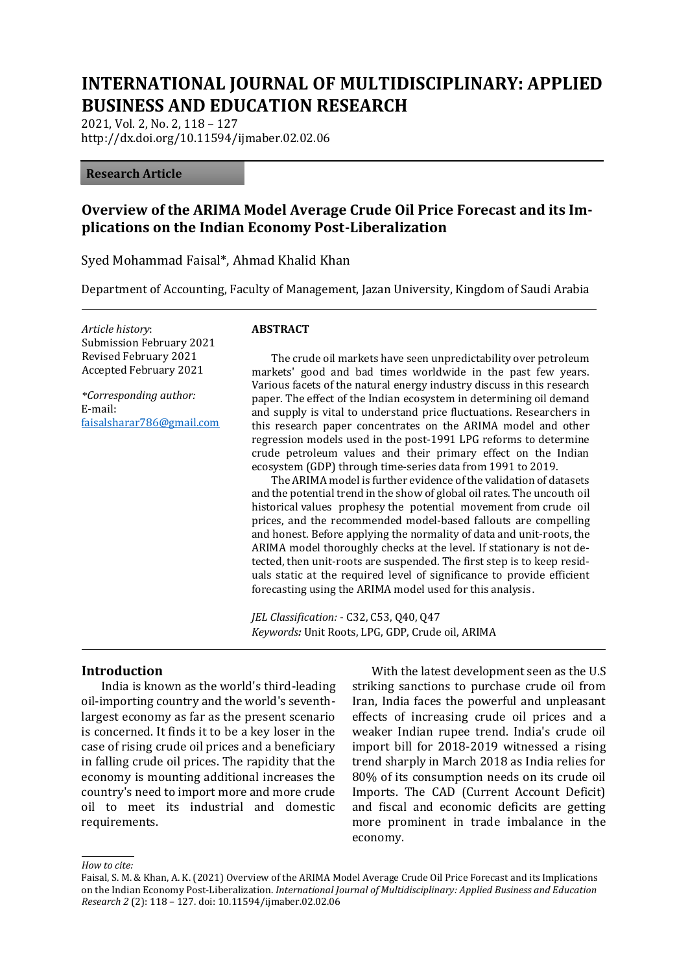# **INTERNATIONAL JOURNAL OF MULTIDISCIPLINARY: APPLIED BUSINESS AND EDUCATION RESEARCH**

2021, Vol. 2, No. 2, 118 – 127 http://dx.doi.org/10.11594/ijmaber.02.02.06

#### **Research Article**

## **Overview of the ARIMA Model Average Crude Oil Price Forecast and its Implications on the Indian Economy Post-Liberalization**

Syed Mohammad Faisal\*, Ahmad Khalid Khan

Department of Accounting, Faculty of Management, Jazan University, Kingdom of Saudi Arabia

*Article history*: Submission February 2021 Revised February 2021 Accepted February 2021

*\*Corresponding author:* E-mail: [faisalsharar786@gmail.com](mailto:faisalsharar786@gmail.com)

#### **ABSTRACT**

The crude oil markets have seen unpredictability over petroleum markets' good and bad times worldwide in the past few years. Various facets of the natural energy industry discuss in this research paper. The effect of the Indian ecosystem in determining oil demand and supply is vital to understand price fluctuations. Researchers in this research paper concentrates on the ARIMA model and other regression models used in the post-1991 LPG reforms to determine crude petroleum values and their primary effect on the Indian ecosystem (GDP) through time-series data from 1991 to 2019.

The ARIMA model is further evidence of the validation of datasets and the potential trend in the show of global oil rates. The uncouth oil historical values prophesy the potential movement from crude oil prices, and the recommended model-based fallouts are compelling and honest. Before applying the normality of data and unit-roots, the ARIMA model thoroughly checks at the level. If stationary is not detected, then unit-roots are suspended. The first step is to keep residuals static at the required level of significance to provide efficient forecasting using the ARIMA model used for this analysis.

*JEL Classification:* - C32, C53, Q40, Q47 *Keywords:* Unit Roots, LPG, GDP, Crude oil, ARIMA

#### **Introduction**

India is known as the world's third-leading oil-importing country and the world's seventhlargest economy as far as the present scenario is concerned. It finds it to be a key loser in the case of rising crude oil prices and a beneficiary in falling crude oil prices. The rapidity that the economy is mounting additional increases the country's need to import more and more crude oil to meet its industrial and domestic requirements.

With the latest development seen as the U.S striking sanctions to purchase crude oil from Iran, India faces the powerful and unpleasant effects of increasing crude oil prices and a weaker Indian rupee trend. India's crude oil import bill for 2018-2019 witnessed a rising trend sharply in March 2018 as India relies for 80% of its consumption needs on its crude oil Imports. The CAD (Current Account Deficit) and fiscal and economic deficits are getting more prominent in trade imbalance in the economy.

#### *How to cite:*

Faisal, S. M. & Khan, A. K. (2021) Overview of the ARIMA Model Average Crude Oil Price Forecast and its Implications on the Indian Economy Post-Liberalization. *International Journal of Multidisciplinary: Applied Business and Education Research 2* (2): 118 – 127. doi: 10.11594/ijmaber.02.02.06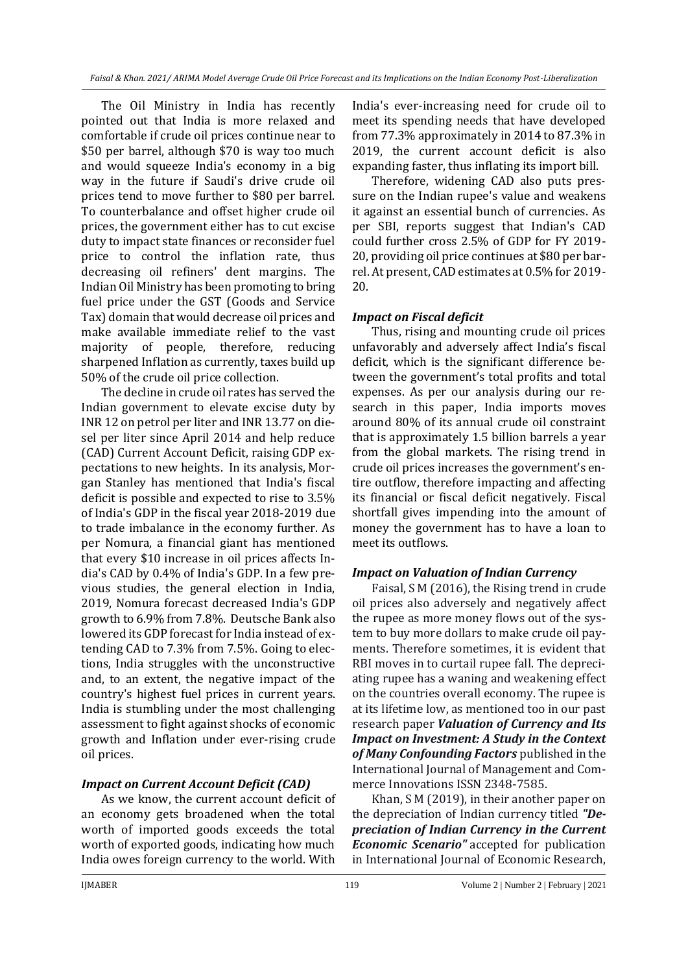The Oil Ministry in India has recently pointed out that India is more relaxed and comfortable if crude oil prices continue near to \$50 per barrel, although \$70 is way too much and would squeeze India's economy in a big way in the future if Saudi's drive crude oil prices tend to move further to \$80 per barrel. To counterbalance and offset higher crude oil prices, the government either has to cut excise duty to impact state finances or reconsider fuel price to control the inflation rate, thus decreasing oil refiners' dent margins. The Indian Oil Ministry has been promoting to bring fuel price under the GST (Goods and Service Tax) domain that would decrease oil prices and make available immediate relief to the vast majority of people, therefore, reducing sharpened Inflation as currently, taxes build up 50% of the crude oil price collection.

The decline in crude oil rates has served the Indian government to elevate excise duty by INR 12 on petrol per liter and INR 13.77 on diesel per liter since April 2014 and help reduce (CAD) Current Account Deficit, raising GDP expectations to new heights. In its analysis, Morgan Stanley has mentioned that India's fiscal deficit is possible and expected to rise to 3.5% of India's GDP in the fiscal year 2018-2019 due to trade imbalance in the economy further. As per Nomura, a financial giant has mentioned that every \$10 increase in oil prices affects India's CAD by 0.4% of India's GDP. In a few previous studies, the general election in India, 2019, Nomura forecast decreased India's GDP growth to 6.9% from 7.8%. Deutsche Bank also lowered its GDP forecast for India instead of extending CAD to 7.3% from 7.5%. Going to elections, India struggles with the unconstructive and, to an extent, the negative impact of the country's highest fuel prices in current years. India is stumbling under the most challenging assessment to fight against shocks of economic growth and Inflation under ever-rising crude oil prices.

### *Impact on Current Account Deficit (CAD)*

As we know, the current account deficit of an economy gets broadened when the total worth of imported goods exceeds the total worth of exported goods, indicating how much India owes foreign currency to the world. With

India's ever-increasing need for crude oil to meet its spending needs that have developed from 77.3% approximately in 2014 to 87.3% in 2019, the current account deficit is also expanding faster, thus inflating its import bill.

Therefore, widening CAD also puts pressure on the Indian rupee's value and weakens it against an essential bunch of currencies. As per SBI, reports suggest that Indian's CAD could further cross 2.5% of GDP for FY 2019- 20, providing oil price continues at \$80 per barrel. At present, CAD estimates at 0.5% for 2019- 20.

### *Impact on Fiscal deficit*

Thus, rising and mounting crude oil prices unfavorably and adversely affect India's fiscal deficit, which is the significant difference between the government's total profits and total expenses. As per our analysis during our research in this paper, India imports moves around 80% of its annual crude oil constraint that is approximately 1.5 billion barrels a year from the global markets. The rising trend in crude oil prices increases the government's entire outflow, therefore impacting and affecting its financial or fiscal deficit negatively. Fiscal shortfall gives impending into the amount of money the government has to have a loan to meet its outflows.

### *Impact on Valuation of Indian Currency*

Faisal, S M (2016), the Rising trend in crude oil prices also adversely and negatively affect the rupee as more money flows out of the system to buy more dollars to make crude oil payments. Therefore sometimes, it is evident that RBI moves in to curtail rupee fall. The depreciating rupee has a waning and weakening effect on the countries overall economy. The rupee is at its lifetime low, as mentioned too in our past research paper *Valuation of Currency and Its Impact on Investment: A Study in the Context of Many Confounding Factors* published in the International Journal of Management and Commerce Innovations ISSN 2348-7585.

Khan, S M (2019), in their another paper on the depreciation of Indian currency titled *"Depreciation of Indian Currency in the Current Economic Scenario"* accepted for publication in International Journal of Economic Research,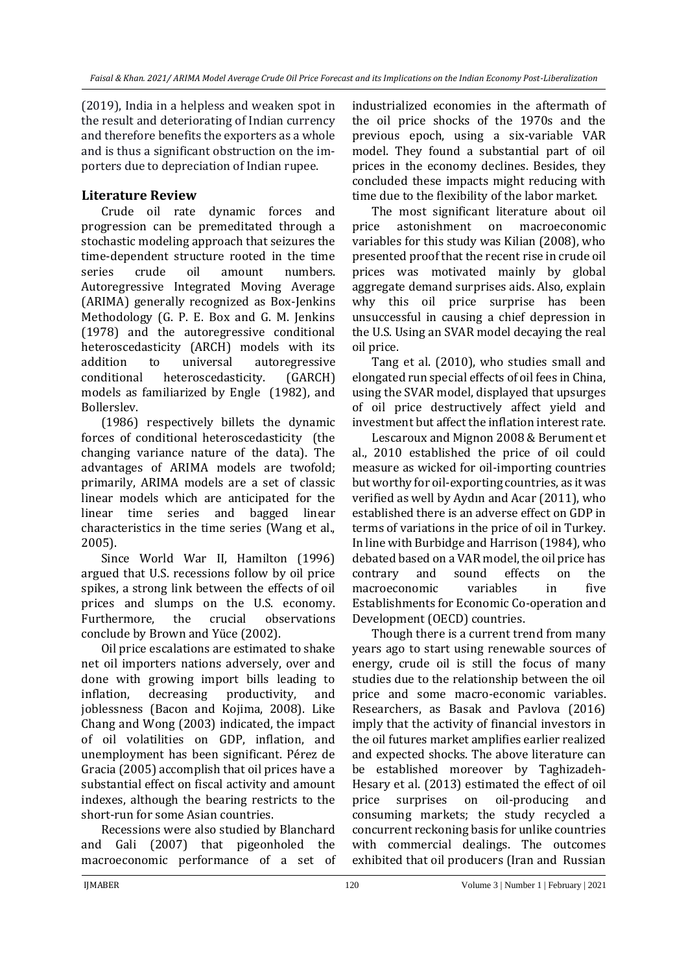(2019), India in a helpless and weaken spot in the result and deteriorating of Indian currency and therefore benefits the exporters as a whole and is thus a significant obstruction on the importers due to depreciation of Indian rupee.

# **Literature Review**

Crude oil rate dynamic forces and progression can be premeditated through a stochastic modeling approach that seizures the time-dependent structure rooted in the time series crude oil amount numbers. Autoregressive Integrated Moving Average (ARIMA) generally recognized as Box-Jenkins Methodology (G. P. E. Box and G. M. Jenkins (1978) and the autoregressive conditional heteroscedasticity (ARCH) models with its addition to universal autoregressive conditional heteroscedasticity. (GARCH) models as familiarized by Engle (1982), and Bollerslev.

(1986) respectively billets the dynamic forces of conditional heteroscedasticity (the changing variance nature of the data). The advantages of ARIMA models are twofold; primarily, ARIMA models are a set of classic linear models which are anticipated for the linear time series and bagged linear characteristics in the time series (Wang et al., 2005).

Since World War II, Hamilton (1996) argued that U.S. recessions follow by oil price spikes, a strong link between the effects of oil prices and slumps on the U.S. economy. Furthermore, the crucial observations conclude by Brown and Yüce (2002).

Oil price escalations are estimated to shake net oil importers nations adversely, over and done with growing import bills leading to inflation, decreasing productivity, and joblessness (Bacon and Kojima, 2008). Like Chang and Wong (2003) indicated, the impact of oil volatilities on GDP, inflation, and unemployment has been significant. Pérez de Gracia (2005) accomplish that oil prices have a substantial effect on fiscal activity and amount indexes, although the bearing restricts to the short-run for some Asian countries.

Recessions were also studied by Blanchard and Gali (2007) that pigeonholed the macroeconomic performance of a set of

industrialized economies in the aftermath of the oil price shocks of the 1970s and the previous epoch, using a six-variable VAR model. They found a substantial part of oil prices in the economy declines. Besides, they concluded these impacts might reducing with time due to the flexibility of the labor market.

The most significant literature about oil price astonishment on macroeconomic variables for this study was Kilian (2008), who presented proof that the recent rise in crude oil prices was motivated mainly by global aggregate demand surprises aids. Also, explain why this oil price surprise has been unsuccessful in causing a chief depression in the U.S. Using an SVAR model decaying the real oil price.

Tang et al. (2010), who studies small and elongated run special effects of oil fees in China, using the SVAR model, displayed that upsurges of oil price destructively affect yield and investment but affect the inflation interest rate.

Lescaroux and Mignon 2008 & Berument et al., 2010 established the price of oil could measure as wicked for oil-importing countries but worthy for oil-exporting countries, as it was verified as well by Aydın and Acar (2011), who established there is an adverse effect on GDP in terms of variations in the price of oil in Turkey. In line with Burbidge and Harrison (1984), who debated based on a VAR model, the oil price has contrary and sound effects on the macroeconomic variables in five Establishments for Economic Co-operation and Development (OECD) countries.

Though there is a current trend from many years ago to start using renewable sources of energy, crude oil is still the focus of many studies due to the relationship between the oil price and some macro-economic variables. Researchers, as Basak and Pavlova (2016) imply that the activity of financial investors in the oil futures market amplifies earlier realized and expected shocks. The above literature can be established moreover by Taghizadeh-Hesary et al. (2013) estimated the effect of oil price surprises on oil-producing and consuming markets; the study recycled a concurrent reckoning basis for unlike countries with commercial dealings. The outcomes exhibited that oil producers (Iran and Russian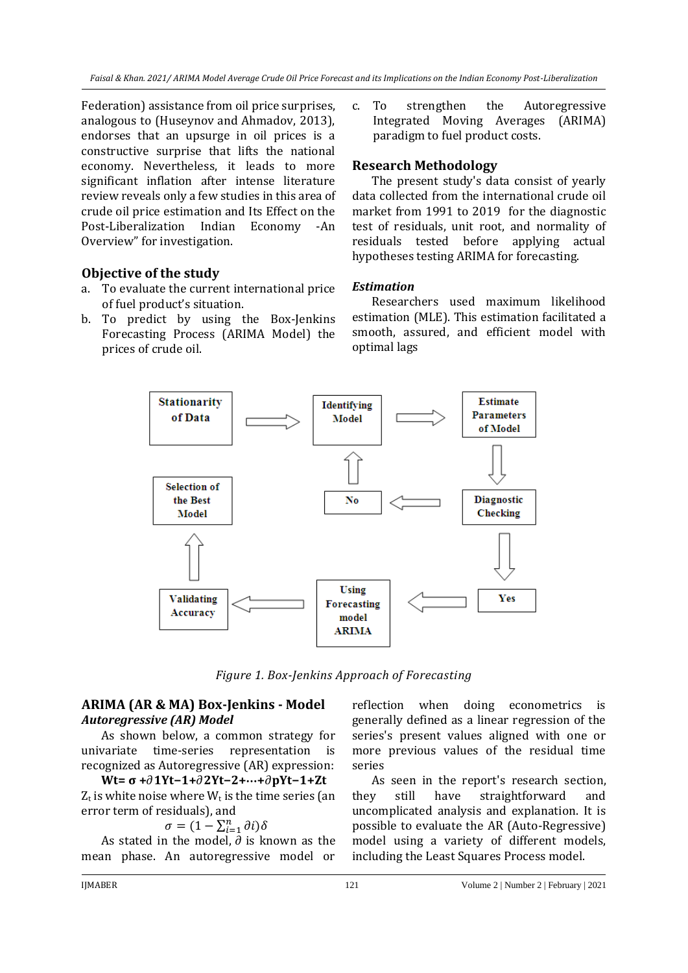Federation) assistance from oil price surprises, analogous to (Huseynov and Ahmadov, 2013), endorses that an upsurge in oil prices is a constructive surprise that lifts the national economy. Nevertheless, it leads to more significant inflation after intense literature review reveals only a few studies in this area of crude oil price estimation and Its Effect on the Post-Liberalization Indian Economy -An Overview" for investigation.

# **Objective of the study**

- a. To evaluate the current international price of fuel product's situation.
- b. To predict by using the Box-Jenkins Forecasting Process (ARIMA Model) the prices of crude oil.

c. To strengthen the Autoregressive Integrated Moving Averages (ARIMA) paradigm to fuel product costs.

## **Research Methodology**

The present study's data consist of yearly data collected from the international crude oil market from 1991 to 2019 for the diagnostic test of residuals, unit root, and normality of residuals tested before applying actual hypotheses testing ARIMA for forecasting.

### *Estimation*

Researchers used maximum likelihood estimation (MLE). This estimation facilitated a smooth, assured, and efficient model with optimal lags



*Figure 1. Box-Jenkins Approach of Forecasting*

# **ARIMA (AR & MA) Box-Jenkins - Model** *Autoregressive (AR) Model*

As shown below, a common strategy for univariate time-series representation is recognized as Autoregressive (AR) expression:

**Wt= σ +1Yt−1+2Yt−2+**⋯**+pYt−1+Zt**  $Z_t$  is white noise where  $W_t$  is the time series (an error term of residuals), and

$$
\sigma = (1 - \sum_{i=1}^{n} \partial i) \delta
$$

 $\sigma = (1 - \sum_{i=1}^{n} \sigma_i) \sigma_i$ <br>As stated in the model,  $\partial$  is known as the mean phase. An autoregressive model or

reflection when doing econometrics is generally defined as a linear regression of the series's present values aligned with one or more previous values of the residual time series

As seen in the report's research section, they still have straightforward and uncomplicated analysis and explanation. It is possible to evaluate the AR (Auto-Regressive) model using a variety of different models, including the Least Squares Process model.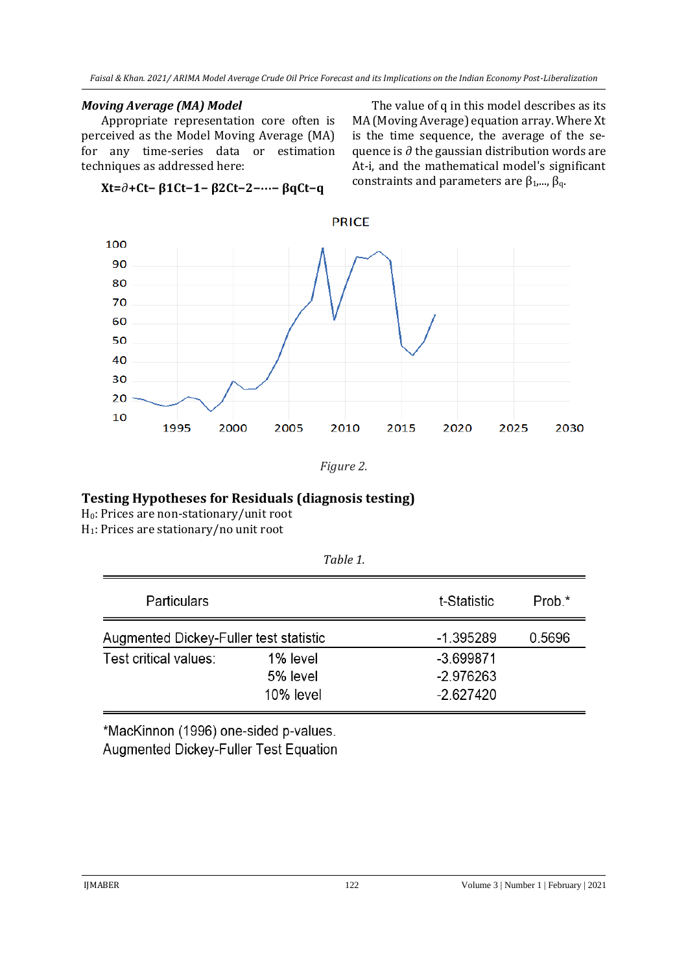*Faisal & Khan. 2021/ ARIMA Model Average Crude Oil Price Forecast and its Implications on the Indian Economy Post-Liberalization*

### *Moving Average (MA) Model*

Appropriate representation core often is perceived as the Model Moving Average (MA) for any time-series data or estimation techniques as addressed here:

**Xt=+Ct− β1Ct−1− β2Ct−2−**⋯**− βqCt−q**

The value of q in this model describes as its MA (Moving Average) equation array. Where Xt is the time sequence, the average of the sequence is  $\partial$  the gaussian distribution words are At-i, and the mathematical model's significant constraints and parameters are  $\beta_1$ ,...,  $\beta_q$ .



*Figure 2.*

# **Testing Hypotheses for Residuals (diagnosis testing)**

H0: Prices are non-stationary/unit root

H1: Prices are stationary/no unit root

| <b>Particulars</b>                     |                                   | t-Statistic                               | Prob.* |  |
|----------------------------------------|-----------------------------------|-------------------------------------------|--------|--|
| Augmented Dickey-Fuller test statistic |                                   | $-1.395289$<br>0.5696                     |        |  |
| Test critical values:                  | 1% level<br>5% level<br>10% level | $-3.699871$<br>$-2.976263$<br>$-2.627420$ |        |  |

*Table 1.*

\*MacKinnon (1996) one-sided p-values. Augmented Dickey-Fuller Test Equation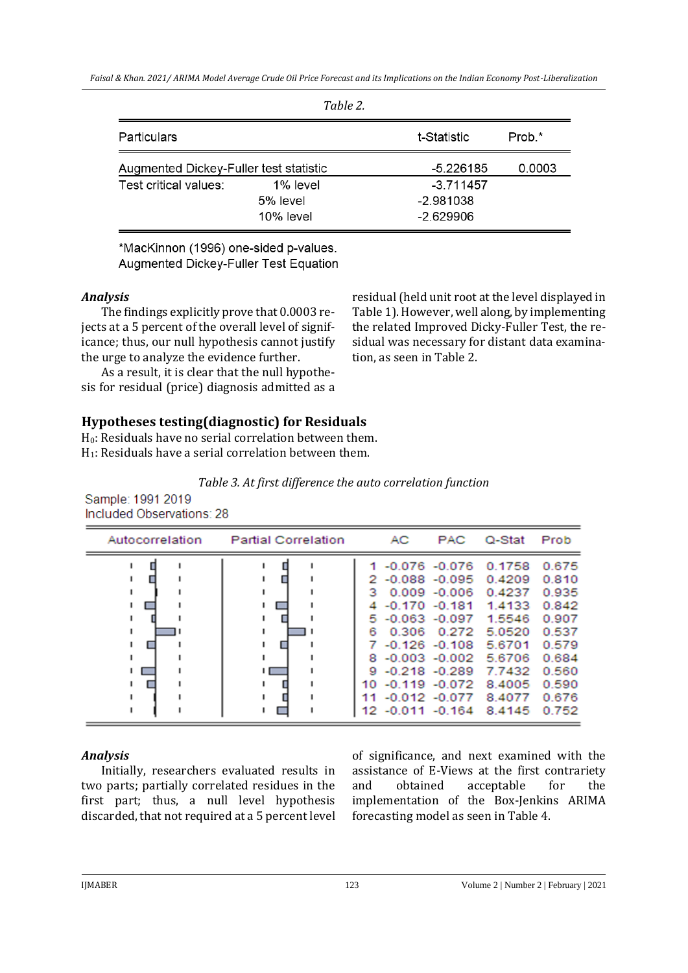| Table 2.                               |              |             |        |  |  |
|----------------------------------------|--------------|-------------|--------|--|--|
| Particulars                            | t-Statistic  |             | Prob.* |  |  |
| Augmented Dickey-Fuller test statistic |              | -5.226185   | 0.0003 |  |  |
| Test critical values:                  | 1% level     | $-3.711457$ |        |  |  |
|                                        | 5% level     | $-2.981038$ |        |  |  |
|                                        | $10\%$ level | $-2.629906$ |        |  |  |

\*MacKinnon (1996) one-sided p-values. Augmented Dickey-Fuller Test Equation

### *Analysis*

The findings explicitly prove that 0.0003 rejects at a 5 percent of the overall level of significance; thus, our null hypothesis cannot justify the urge to analyze the evidence further.

As a result, it is clear that the null hypothesis for residual (price) diagnosis admitted as a residual (held unit root at the level displayed in Table 1). However, well along, by implementing the related Improved Dicky-Fuller Test, the residual was necessary for distant data examination, as seen in Table 2.

# **Hypotheses testing(diagnostic) for Residuals**

 $H<sub>0</sub>$ : Residuals have no serial correlation between them.  $H_1$ : Residuals have a serial correlation between them.

| Table 3. At first difference the auto correlation function |  |
|------------------------------------------------------------|--|
|------------------------------------------------------------|--|

Sample: 1991 2019 Included Observations: 28

| Autocorrelation | <b>Partial Correlation</b> |                                        | AC    | <b>PAC</b>                                                                                                                                                           | Q-Stat                                                                                                            | Prob                                                                                   |
|-----------------|----------------------------|----------------------------------------|-------|----------------------------------------------------------------------------------------------------------------------------------------------------------------------|-------------------------------------------------------------------------------------------------------------------|----------------------------------------------------------------------------------------|
|                 | $\overline{\phantom{0}}$   | 2<br>з<br>5<br>6<br>7<br>8<br>9<br>10. | 0.306 | $-0.076 - 0.076$<br>$-0.088 - 0.095$<br>$0.009 - 0.006$<br>$-0.170 - 0.181$<br>$-0.063 - 0.097$<br>0.272<br>$-0.126 - 0.108$<br>$-0.218 - 0.289$<br>$-0.119 - 0.072$ | 0.1758<br>0.4209<br>0.4237<br>1.4133<br>1.5546<br>5.0520<br>5.6701<br>$-0.003 - 0.002$ 5.6706<br>7.7432<br>8.4005 | 0.675<br>0.810<br>0.935<br>0.842<br>0.907<br>0.537<br>0.579<br>0.684<br>0.560<br>0.590 |
|                 |                            | 11<br>12                               |       | $-0.012 - 0.077$<br>$-0.011 - 0.164$                                                                                                                                 | 8.4077<br>8.4145                                                                                                  | 0.676<br>0.752                                                                         |

#### *Analysis*

Initially, researchers evaluated results in two parts; partially correlated residues in the first part; thus, a null level hypothesis discarded, that not required at a 5 percent level of significance, and next examined with the assistance of E-Views at the first contrariety and obtained acceptable for the implementation of the Box-Jenkins ARIMA forecasting model as seen in Table 4.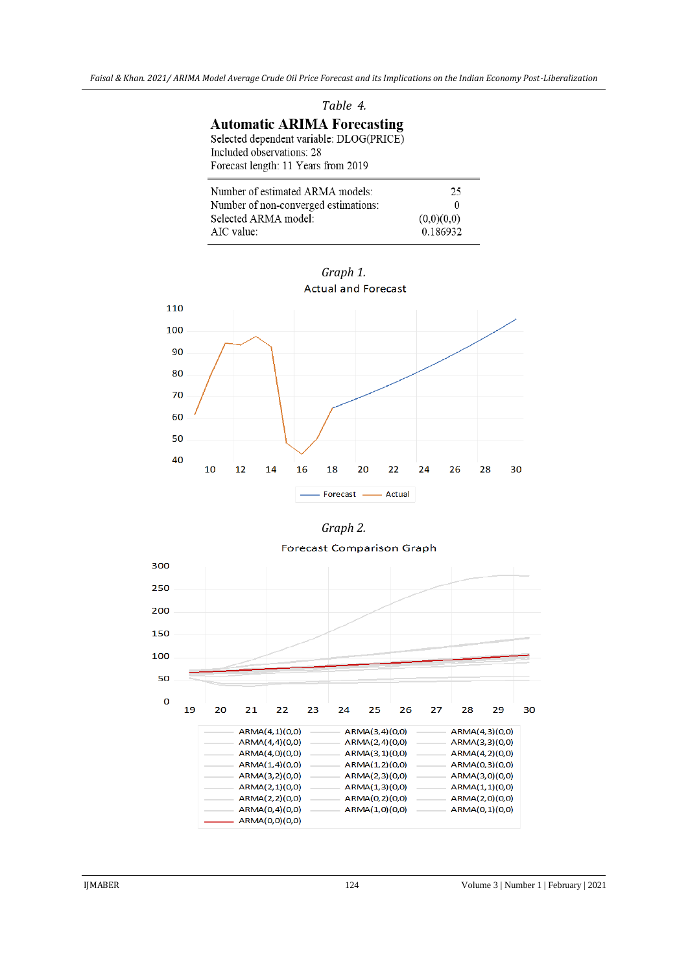| Table 4.                                 |  |  |
|------------------------------------------|--|--|
| <b>Automatic ARIMA Forecasting</b>       |  |  |
| Selected dependent variable: DLOG(PRICE) |  |  |
| Included observations: 28                |  |  |
| Forecast length: 11 Years from 2019      |  |  |
|                                          |  |  |

| Number of estimated ARMA models:     | 25         |
|--------------------------------------|------------|
| Number of non-converged estimations: | $^{(1)}$   |
| Selected ARMA model:                 | (0.0)(0.0) |
| AIC value:                           | 0.186932   |





#### **Forecast Comparison Graph**

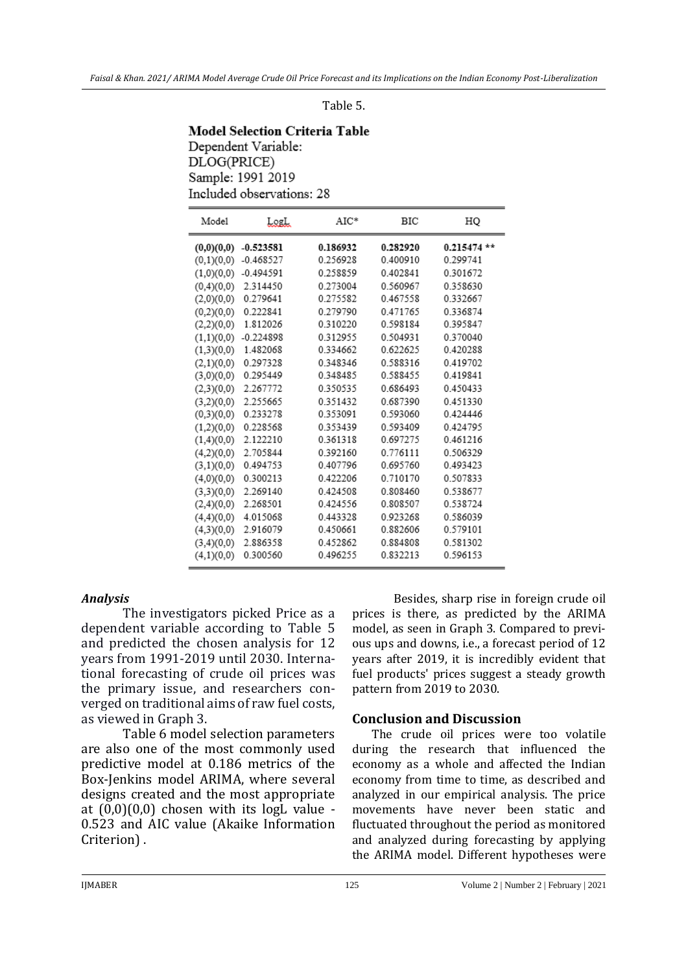#### Table 5.

### **Model Selection Criteria Table** Dependent Variable: DLOG(PRICE) Sample: 1991 2019 Included observations: 28

| Model      | LogL        | $AIC^*$  | BIC      | HQ           |
|------------|-------------|----------|----------|--------------|
| (0,0)(0,0) | $-0.523581$ | 0.186932 | 0.282920 | $0.215474**$ |
| (0,1)(0,0) | $-0.468527$ | 0.256928 | 0.400910 | 0.299741     |
| (1,0)(0,0) | $-0.494591$ | 0.258859 | 0.402841 | 0.301672     |
| (0,4)(0,0) | 2.314450    | 0.273004 | 0.560967 | 0.358630     |
| (2,0)(0,0) | 0.279641    | 0.275582 | 0.467558 | 0.332667     |
| (0,2)(0,0) | 0.222841    | 0 279790 | 0471765  | 0336874      |
| (2,2)(0,0) | 1.812026    | 0.310220 | 0.598184 | 0.395847     |
| (1,1)(0,0) | $-0.224898$ | 0.312955 | 0.504931 | 0.370040     |
| (1,3)(0,0) | 1.482068    | 0.334662 | 0.622625 | 0.420288     |
| (2,1)(0,0) | 0.297328    | 0.348346 | 0.588316 | 0419702      |
| (3,0)(0,0) | 0.295449    | 0.348485 | 0.588455 | 0.419841     |
| (2,3)(0,0) | 2.267772    | 0.350535 | 0.686493 | 0.450433     |
| (3,2)(0,0) | 2.255665    | 0351432  | 0.687390 | 0.451330     |
| (0,3)(0,0) | 0.233278    | 0.353091 | 0.593060 | 0.424446     |
| (1,2)(0,0) | 0.228568    | 0.353439 | 0.593409 | 0.424795     |
| (1,4)(0,0) | 2.122210    | 0.361318 | 0.697275 | 0.461216     |
| (4,2)(0,0) | 2.705844    | 0.392160 | 0.776111 | 0.506329     |
| (3,1)(0,0) | 0.494753    | 0.407796 | 0.695760 | 0.493423     |
| (4,0)(0,0) | 0.300213    | 0.422206 | 0.710170 | 0.507833     |
| (3,3)(0,0) | 2.269140    | 0.424508 | 0.808460 | 0.538677     |
| (2,4)(0,0) | 2.268501    | 0.424556 | 0.808507 | 0.538724     |
| (4,4)(0,0) | 4.015068    | 0.443328 | 0.923268 | 0.586039     |
| (4,3)(0,0) | 2.916079    | 0.450661 | 0.882606 | 0.579101     |
| (3,4)(0,0) | 2.886358    | 0.452862 | 0.884808 | 0.581302     |
| (4,1)(0,0) | 0.300560    | 0.496255 | 0.832213 | 0.596153     |

#### *Analysis*

The investigators picked Price as a dependent variable according to Table 5 and predicted the chosen analysis for 12 years from 1991-2019 until 2030. International forecasting of crude oil prices was the primary issue, and researchers converged on traditional aims of raw fuel costs, as viewed in Graph 3.

Table 6 model selection parameters are also one of the most commonly used predictive model at 0.186 metrics of the Box-Jenkins model ARIMA, where several designs created and the most appropriate at  $(0,0)(0,0)$  chosen with its logL value -0.523 and AIC value (Akaike Information Criterion) .

Besides, sharp rise in foreign crude oil prices is there, as predicted by the ARIMA model, as seen in Graph 3. Compared to previous ups and downs, i.e., a forecast period of 12 years after 2019, it is incredibly evident that fuel products' prices suggest a steady growth pattern from 2019 to 2030.

#### **Conclusion and Discussion**

The crude oil prices were too volatile during the research that influenced the economy as a whole and affected the Indian economy from time to time, as described and analyzed in our empirical analysis. The price movements have never been static and fluctuated throughout the period as monitored and analyzed during forecasting by applying the ARIMA model. Different hypotheses were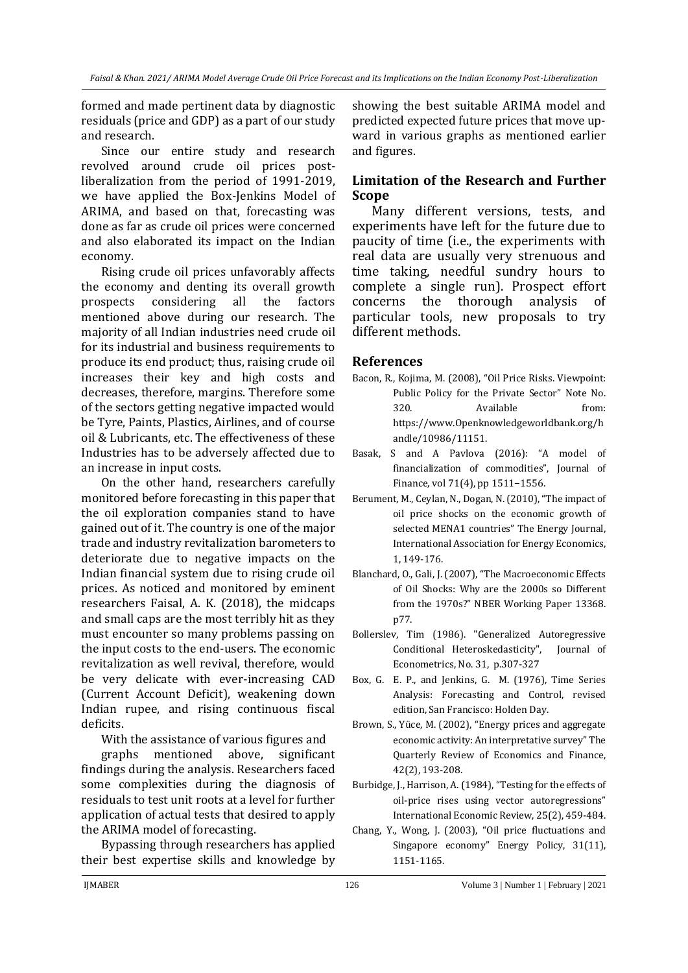formed and made pertinent data by diagnostic residuals (price and GDP) as a part of our study and research.

Since our entire study and research revolved around crude oil prices postliberalization from the period of 1991-2019, we have applied the Box-Jenkins Model of ARIMA, and based on that, forecasting was done as far as crude oil prices were concerned and also elaborated its impact on the Indian economy.

Rising crude oil prices unfavorably affects the economy and denting its overall growth prospects considering all the factors mentioned above during our research. The majority of all Indian industries need crude oil for its industrial and business requirements to produce its end product; thus, raising crude oil increases their key and high costs and decreases, therefore, margins. Therefore some of the sectors getting negative impacted would be Tyre, Paints, Plastics, Airlines, and of course oil & Lubricants, etc. The effectiveness of these Industries has to be adversely affected due to an increase in input costs.

On the other hand, researchers carefully monitored before forecasting in this paper that the oil exploration companies stand to have gained out of it. The country is one of the major trade and industry revitalization barometers to deteriorate due to negative impacts on the Indian financial system due to rising crude oil prices. As noticed and monitored by eminent researchers Faisal, A. K. (2018), the midcaps and small caps are the most terribly hit as they must encounter so many problems passing on the input costs to the end-users. The economic revitalization as well revival, therefore, would be very delicate with ever-increasing CAD (Current Account Deficit), weakening down Indian rupee, and rising continuous fiscal deficits.

With the assistance of various figures and

graphs mentioned above, significant findings during the analysis. Researchers faced some complexities during the diagnosis of residuals to test unit roots at a level for further application of actual tests that desired to apply the ARIMA model of forecasting.

Bypassing through researchers has applied their best expertise skills and knowledge by showing the best suitable ARIMA model and predicted expected future prices that move upward in various graphs as mentioned earlier and figures.

## **Limitation of the Research and Further Scope**

Many different versions, tests, and experiments have left for the future due to paucity of time (i.e., the experiments with real data are usually very strenuous and time taking, needful sundry hours to complete a single run). Prospect effort concerns the thorough analysis of particular tools, new proposals to try different methods.

### **References**

- Bacon, R., Kojima, M. (2008), "Oil Price Risks. Viewpoint: Public Policy for the Private Sector" Note No. 320. Available from: https://www.Openknowledgeworldbank.org/h andle/10986/11151.
- Basak, S and A Pavlova (2016): "A model of financialization of commodities", Journal of Finance, vol 71(4), pp 1511−1556.
- Berument, M., Ceylan, N., Dogan, N. (2010), "The impact of oil price shocks on the economic growth of selected MENA1 countries" The Energy Journal, International Association for Energy Economics, 1, 149-176.
- Blanchard, O., Gali, J. (2007), "The Macroeconomic Effects of Oil Shocks: Why are the 2000s so Different from the 1970s?" NBER Working Paper 13368. p77.
- Bollerslev, Tim (1986). "Generalized Autoregressive Conditional Heteroskedasticity", Journal of Econometrics, No. 31, p.307-327
- Box, G. E. P., and Jenkins, G. M. (1976), Time Series Analysis: Forecasting and Control, revised edition, San Francisco: Holden Day.
- Brown, S., Yüce, M. (2002), "Energy prices and aggregate economic activity: An interpretative survey" The Quarterly Review of Economics and Finance, 42(2), 193-208.
- Burbidge, J., Harrison, A. (1984), "Testing for the effects of oil-price rises using vector autoregressions" International Economic Review, 25(2), 459-484.
- Chang, Y., Wong, J. (2003), "Oil price fluctuations and Singapore economy" Energy Policy, 31(11), 1151-1165.